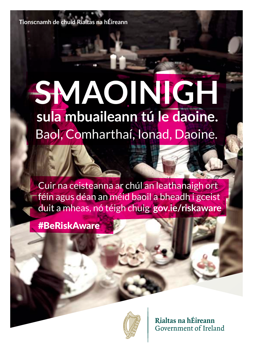**Tionscnamh de chuid Rialtas na hÉireann**

# **sula mbuaileann tú le daoine.** Baol, Comharthaí, Ionad, Daoine. **SMAOINIGH**

Cuir na ceisteanna ar chúl an leathanaigh ort féin agus déan an méid baoil a bheadh i gceist duit a mheas, nó téigh chuig **gov.ie/riskaware**

#BeRiskAware



Rialtas na hÉireann Government of Ireland